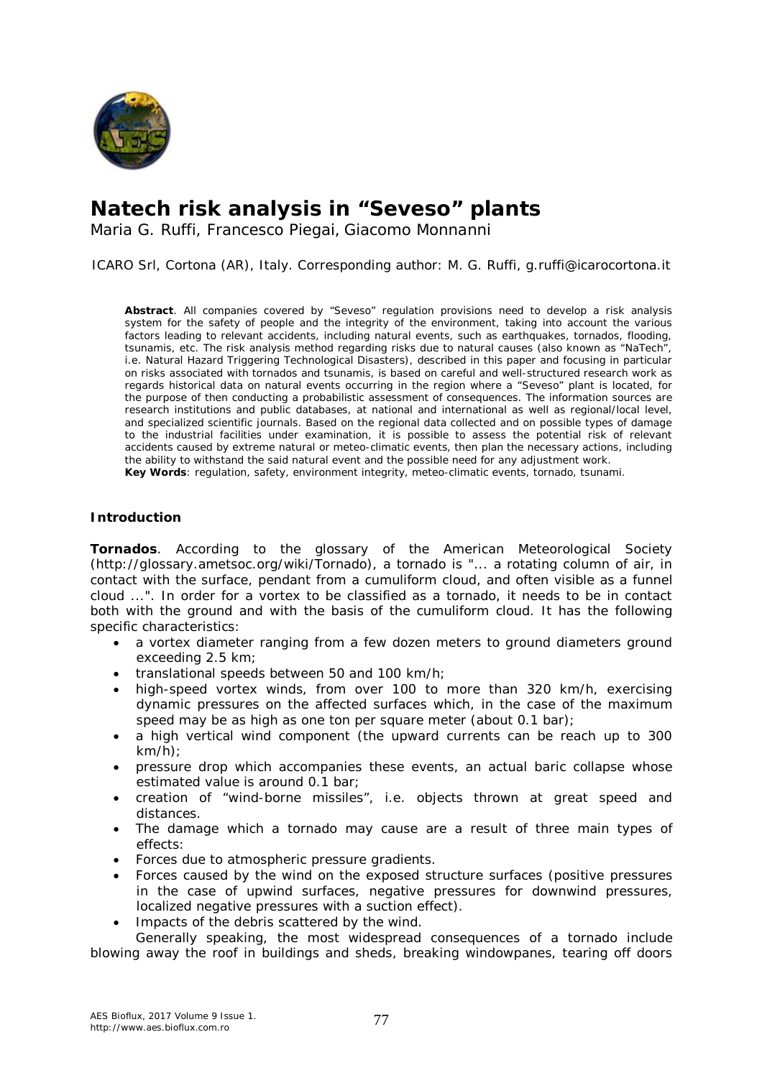

# **Natech risk analysis in "Seveso" plants**

Maria G. Ruffi, Francesco Piegai, Giacomo Monnanni

ICARO Srl, Cortona (AR), Italy. Corresponding author: M. G. Ruffi, g.ruffi@icarocortona.it

**Abstract**. All companies covered by "Seveso" regulation provisions need to develop a risk analysis system for the safety of people and the integrity of the environment, taking into account the various factors leading to relevant accidents, including natural events, such as earthquakes, tornados, flooding, tsunamis, etc. The risk analysis method regarding risks due to natural causes (also known as "NaTech", i.e. Natural Hazard Triggering Technological Disasters), described in this paper and focusing in particular on risks associated with tornados and tsunamis, is based on careful and well-structured research work as regards historical data on natural events occurring in the region where a "Seveso" plant is located, for the purpose of then conducting a probabilistic assessment of consequences. The information sources are research institutions and public databases, at national and international as well as regional/local level, and specialized scientific journals. Based on the regional data collected and on possible types of damage to the industrial facilities under examination, it is possible to assess the potential risk of relevant accidents caused by extreme natural or meteo-climatic events, then plan the necessary actions, including the ability to withstand the said natural event and the possible need for any adjustment work. **Key Words**: regulation, safety, environment integrity, meteo-climatic events, tornado, tsunami.

#### **Introduction**

*Tornados*. According to the glossary of the American Meteorological Society (http://glossary.ametsoc.org/wiki/Tornado), a tornado is "... a rotating column of air, in contact with the surface, pendant from a cumuliform cloud, and often visible as a funnel cloud ...". In order for a vortex to be classified as a tornado, it needs to be in contact both with the ground and with the basis of the cumuliform cloud. It has the following specific characteristics:

- a vortex diameter ranging from a few dozen meters to ground diameters ground exceeding 2.5 km;
- translational speeds between 50 and 100 km/h;
- high-speed vortex winds, from over 100 to more than 320 km/h, exercising dynamic pressures on the affected surfaces which, in the case of the maximum speed may be as high as one ton per square meter (about 0.1 bar);
- a high vertical wind component (the upward currents can be reach up to 300 km/h);
- pressure drop which accompanies these events, an actual baric collapse whose estimated value is around 0.1 bar;
- creation of "wind-borne missiles", i.e. objects thrown at great speed and distances.
- The damage which a tornado may cause are a result of three main types of effects:
- Forces due to atmospheric pressure gradients.
- Forces caused by the wind on the exposed structure surfaces (positive pressures in the case of upwind surfaces, negative pressures for downwind pressures, localized negative pressures with a suction effect).
- Impacts of the debris scattered by the wind.

Generally speaking, the most widespread consequences of a tornado include blowing away the roof in buildings and sheds, breaking windowpanes, tearing off doors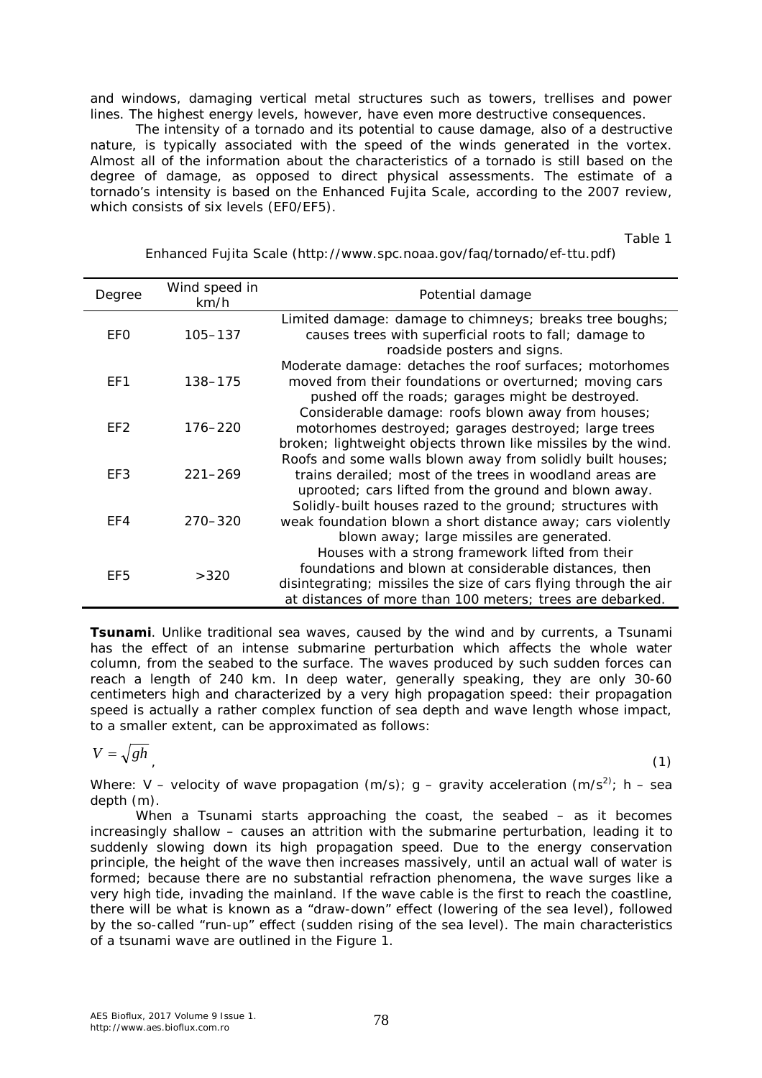and windows, damaging vertical metal structures such as towers, trellises and power lines. The highest energy levels, however, have even more destructive consequences.

The intensity of a tornado and its potential to cause damage, also of a destructive nature, is typically associated with the speed of the winds generated in the vortex. Almost all of the information about the characteristics of a tornado is still based on the degree of damage, as opposed to direct physical assessments. The estimate of a tornado's intensity is based on the Enhanced Fujita Scale, according to the 2007 review, which consists of six levels (EF0/EF5).

Table 1

| Degree          | Wind speed in<br>km/h | Potential damage                                                                                                                                                                                                                           |
|-----------------|-----------------------|--------------------------------------------------------------------------------------------------------------------------------------------------------------------------------------------------------------------------------------------|
| EFO             | 105-137               | Limited damage: damage to chimneys; breaks tree boughs;<br>causes trees with superficial roots to fall; damage to<br>roadside posters and signs.                                                                                           |
| EF1             | 138-175               | Moderate damage: detaches the roof surfaces; motorhomes<br>moved from their foundations or overturned; moving cars<br>pushed off the roads; garages might be destroyed.                                                                    |
| EF <sub>2</sub> | $176 - 220$           | Considerable damage: roofs blown away from houses;<br>motorhomes destroyed; garages destroyed; large trees<br>broken; lightweight objects thrown like missiles by the wind.                                                                |
| EF3             | $221 - 269$           | Roofs and some walls blown away from solidly built houses;<br>trains derailed; most of the trees in woodland areas are<br>uprooted; cars lifted from the ground and blown away.                                                            |
| EF4             | $270 - 320$           | Solidly-built houses razed to the ground; structures with<br>weak foundation blown a short distance away; cars violently<br>blown away; large missiles are generated.                                                                      |
| EF <sub>5</sub> | >320                  | Houses with a strong framework lifted from their<br>foundations and blown at considerable distances, then<br>disintegrating; missiles the size of cars flying through the air<br>at distances of more than 100 meters; trees are debarked. |

Enhanced Fujita Scale (http://www.spc.noaa.gov/faq/tornado/ef-ttu.pdf)

*Tsunami*. Unlike traditional sea waves, caused by the wind and by currents, a Tsunami has the effect of an intense submarine perturbation which affects the whole water column, from the seabed to the surface. The waves produced by such sudden forces can reach a length of 240 km. In deep water, generally speaking, they are only 30-60 centimeters high and characterized by a very high propagation speed: their propagation speed is actually a rather complex function of sea depth and wave length whose impact, to a smaller extent, can be approximated as follows:

$$
V = \sqrt{gh}
$$

, the contract of the contract of the contract of the contract of the contract of the contract of the contract of the contract of the contract of the contract of the contract of the contract of the contract of the contrac

Where: V – velocity of wave propagation (m/s); g – gravity acceleration (m/s<sup>2)</sup>; h – sea depth (m).

When a Tsunami starts approaching the coast, the seabed – as it becomes increasingly shallow – causes an attrition with the submarine perturbation, leading it to suddenly slowing down its high propagation speed. Due to the energy conservation principle, the height of the wave then increases massively, until an actual wall of water is formed; because there are no substantial refraction phenomena, the wave surges like a very high tide, invading the mainland. If the wave cable is the first to reach the coastline, there will be what is known as a "draw-down" effect (lowering of the sea level), followed by the so-called "run-up" effect (sudden rising of the sea level). The main characteristics of a tsunami wave are outlined in the Figure 1.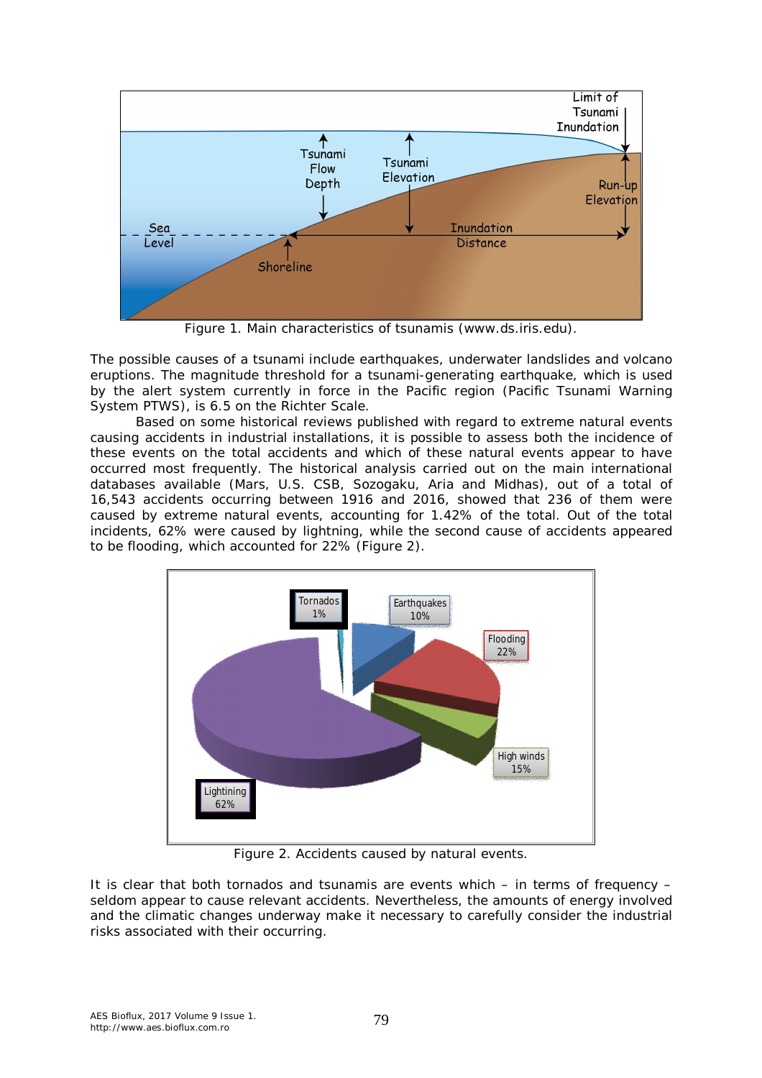

Figure 1. Main characteristics of tsunamis (www.ds.iris.edu).

The possible causes of a tsunami include earthquakes, underwater landslides and volcano eruptions. The magnitude threshold for a tsunami-generating earthquake, which is used by the alert system currently in force in the Pacific region (Pacific Tsunami Warning System PTWS), is 6.5 on the Richter Scale.

Based on some historical reviews published with regard to extreme natural events causing accidents in industrial installations, it is possible to assess both the incidence of these events on the total accidents and which of these natural events appear to have occurred most frequently. The historical analysis carried out on the main international databases available (Mars, U.S. CSB, Sozogaku, Aria and Midhas), out of a total of 16,543 accidents occurring between 1916 and 2016, showed that 236 of them were caused by extreme natural events, accounting for 1.42% of the total. Out of the total incidents, 62% were caused by lightning, while the second cause of accidents appeared to be flooding, which accounted for 22% (Figure 2).



Figure 2. Accidents caused by natural events.

It is clear that both tornados and tsunamis are events which – in terms of frequency – seldom appear to cause relevant accidents. Nevertheless, the amounts of energy involved and the climatic changes underway make it necessary to carefully consider the industrial risks associated with their occurring.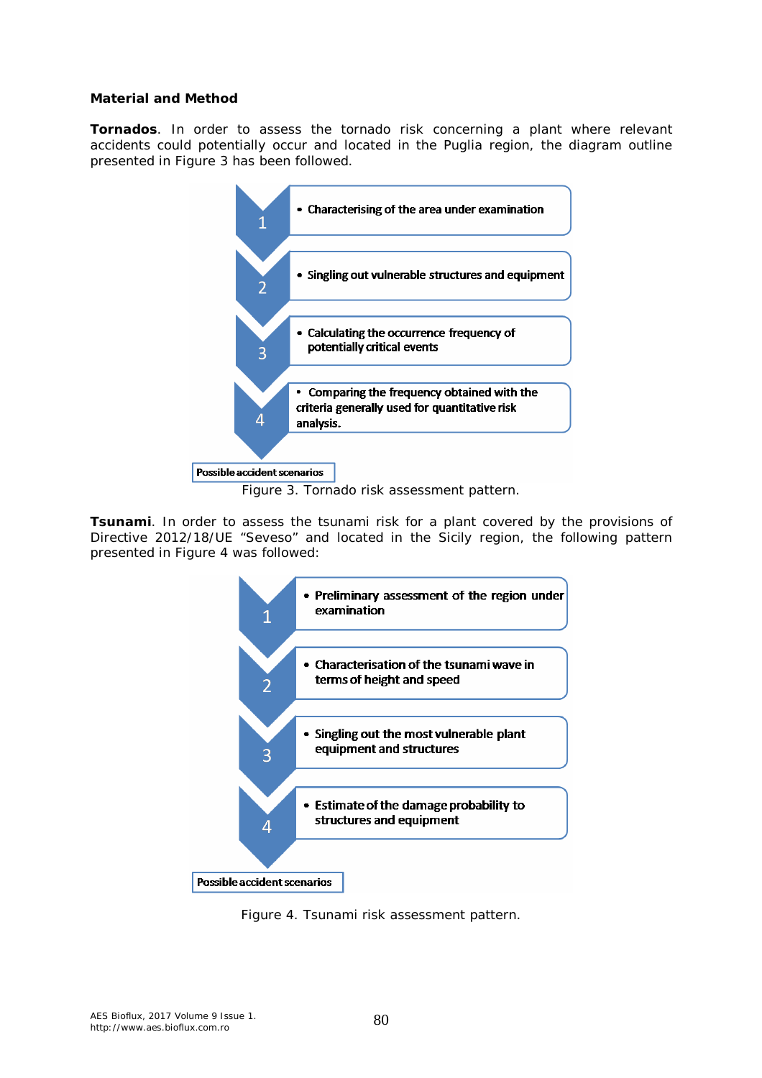#### **Material and Method**

*Tornados*. In order to assess the tornado risk concerning a plant where relevant accidents could potentially occur and located in the Puglia region, the diagram outline presented in Figure 3 has been followed.



Figure 3. Tornado risk assessment pattern.

**Tsunami**. In order to assess the tsunami risk for a plant covered by the provisions of Directive 2012/18/UE "Seveso" and located in the Sicily region, the following pattern presented in Figure 4 was followed:



Figure 4. Tsunami risk assessment pattern.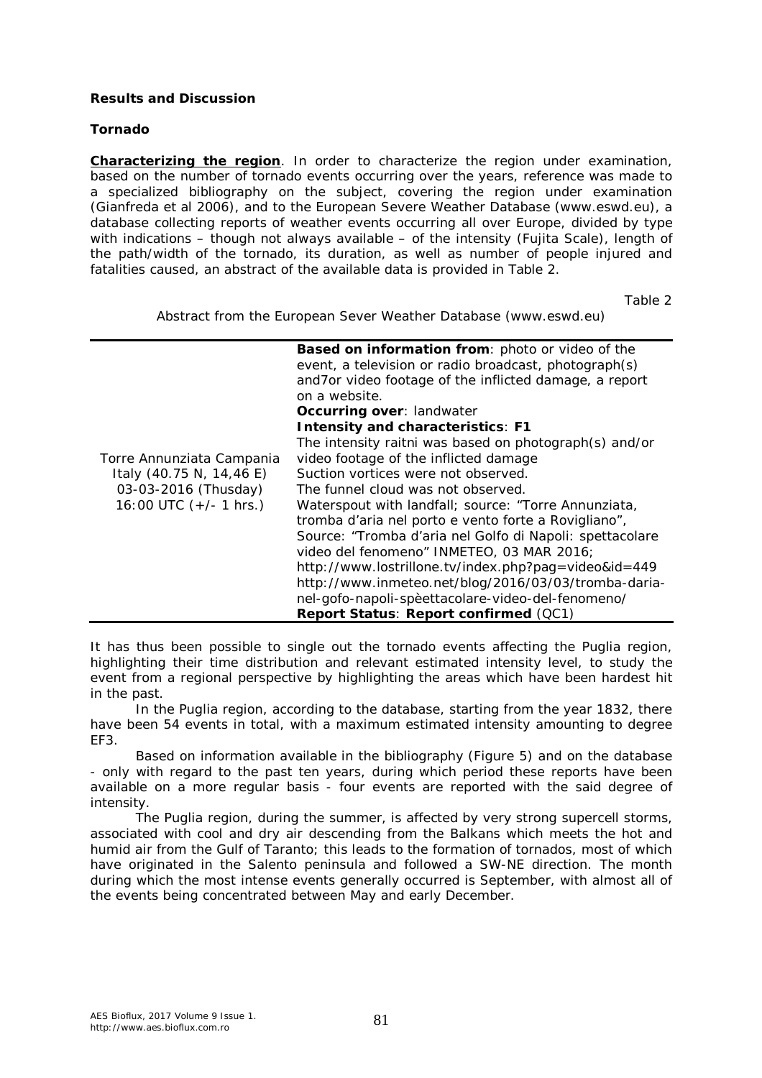## **Results and Discussion**

## *Tornado*

*Characterizing the region*. In order to characterize the region under examination, based on the number of tornado events occurring over the years, reference was made to a specialized bibliography on the subject, covering the region under examination (Gianfreda et al 2006), and to the European Severe Weather Database (www.eswd.eu), a database collecting reports of weather events occurring all over Europe, divided by type with indications – though not always available – of the intensity (Fujita Scale), length of the path/width of the tornado, its duration, as well as number of people injured and fatalities caused, an abstract of the available data is provided in Table 2.

Table 2

Abstract from the European Sever Weather Database (www.eswd.eu)

| Torre Annunziata Campania<br>Italy (40.75 N, 14,46 E)<br>03-03-2016 (Thusday)<br>16:00 UTC $(+/- 1$ hrs.) | Based on information from: photo or video of the<br>event, a television or radio broadcast, photograph(s)<br>and7or video footage of the inflicted damage, a report<br>on a website.<br>Occurring over: landwater<br><b>Intensity and characteristics: F1</b><br>The intensity raitni was based on photograph(s) and/or<br>video footage of the inflicted damage<br>Suction vortices were not observed.<br>The funnel cloud was not observed.<br>Waterspout with landfall; source: "Torre Annunziata,<br>tromba d'aria nel porto e vento forte a Rovigliano",<br>Source: "Tromba d'aria nel Golfo di Napoli: spettacolare<br>video del fenomeno" INMETEO, 03 MAR 2016;<br>http://www.lostrillone.tv/index.php?pag=video&id=449<br>http://www.inmeteo.net/blog/2016/03/03/tromba-daria-<br>nel-gofo-napoli-spèettacolare-video-del-fenomeno/<br>Report Status: Report confirmed (QC1) |
|-----------------------------------------------------------------------------------------------------------|--------------------------------------------------------------------------------------------------------------------------------------------------------------------------------------------------------------------------------------------------------------------------------------------------------------------------------------------------------------------------------------------------------------------------------------------------------------------------------------------------------------------------------------------------------------------------------------------------------------------------------------------------------------------------------------------------------------------------------------------------------------------------------------------------------------------------------------------------------------------------------------|

It has thus been possible to single out the tornado events affecting the Puglia region, highlighting their time distribution and relevant estimated intensity level, to study the event from a regional perspective by highlighting the areas which have been hardest hit in the past.

In the Puglia region, according to the database, starting from the year 1832, there have been 54 events in total, with a maximum estimated intensity amounting to degree EF3.

Based on information available in the bibliography (Figure 5) and on the database - only with regard to the past ten years, during which period these reports have been available on a more regular basis - four events are reported with the said degree of intensity.

The Puglia region, during the summer, is affected by very strong supercell storms, associated with cool and dry air descending from the Balkans which meets the hot and humid air from the Gulf of Taranto; this leads to the formation of tornados, most of which have originated in the Salento peninsula and followed a SW-NE direction. The month during which the most intense events generally occurred is September, with almost all of the events being concentrated between May and early December.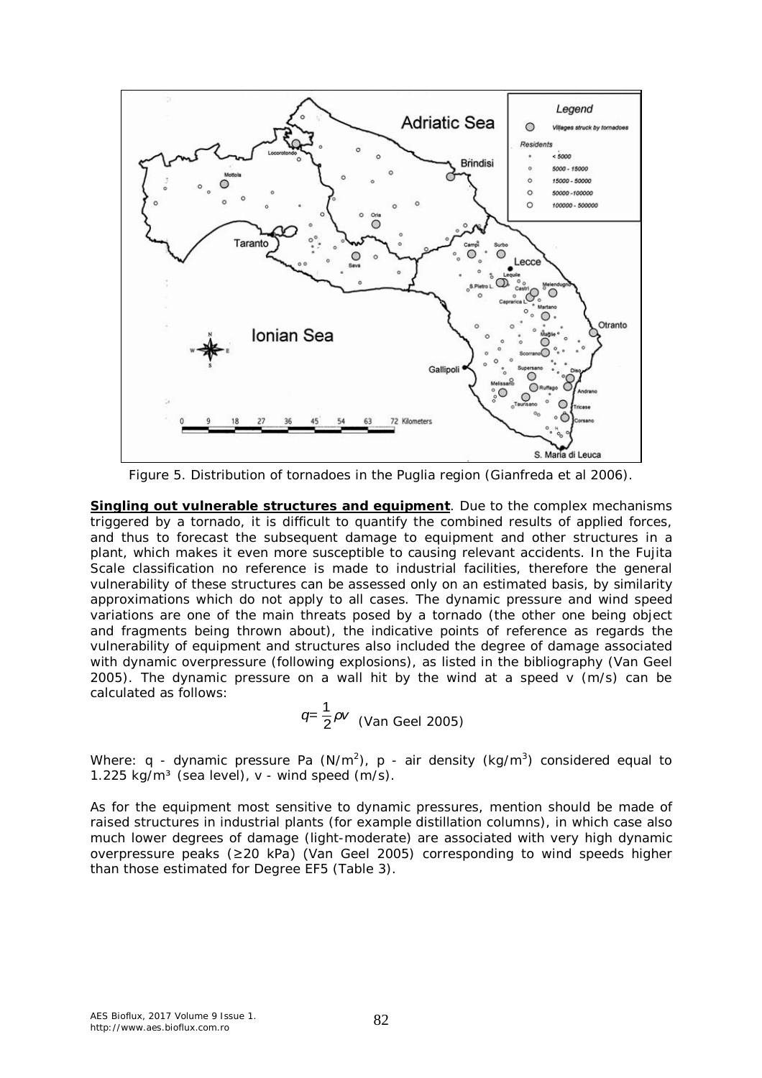

Figure 5. Distribution of tornadoes in the Puglia region (Gianfreda et al 2006).

*Singling out vulnerable structures and equipment*. Due to the complex mechanisms triggered by a tornado, it is difficult to quantify the combined results of applied forces, and thus to forecast the subsequent damage to equipment and other structures in a plant, which makes it even more susceptible to causing relevant accidents. In the Fujita Scale classification no reference is made to industrial facilities, therefore the general vulnerability of these structures can be assessed only on an estimated basis, by similarity approximations which do not apply to all cases. The dynamic pressure and wind speed variations are one of the main threats posed by a tornado (the other one being object and fragments being thrown about), the indicative points of reference as regards the vulnerability of equipment and structures also included the degree of damage associated with dynamic overpressure (following explosions), as listed in the bibliography (Van Geel 2005). The dynamic pressure on a wall hit by the wind at a speed v (m/s) can be calculated as follows:

$$
q = \frac{1}{2}\rho v
$$
 (Van Geel 2005)

Where: q - dynamic pressure Pa (N/m<sup>2</sup>), p - air density (kg/m<sup>3</sup>) considered equal to 1.225 kg/m<sup>3</sup> (sea level),  $v - w$  wind speed (m/s).

As for the equipment most sensitive to dynamic pressures, mention should be made of raised structures in industrial plants (for example distillation columns), in which case also much lower degrees of damage (light-moderate) are associated with very high dynamic overpressure peaks (≥20 kPa) (Van Geel 2005) corresponding to wind speeds higher than those estimated for Degree EF5 (Table 3).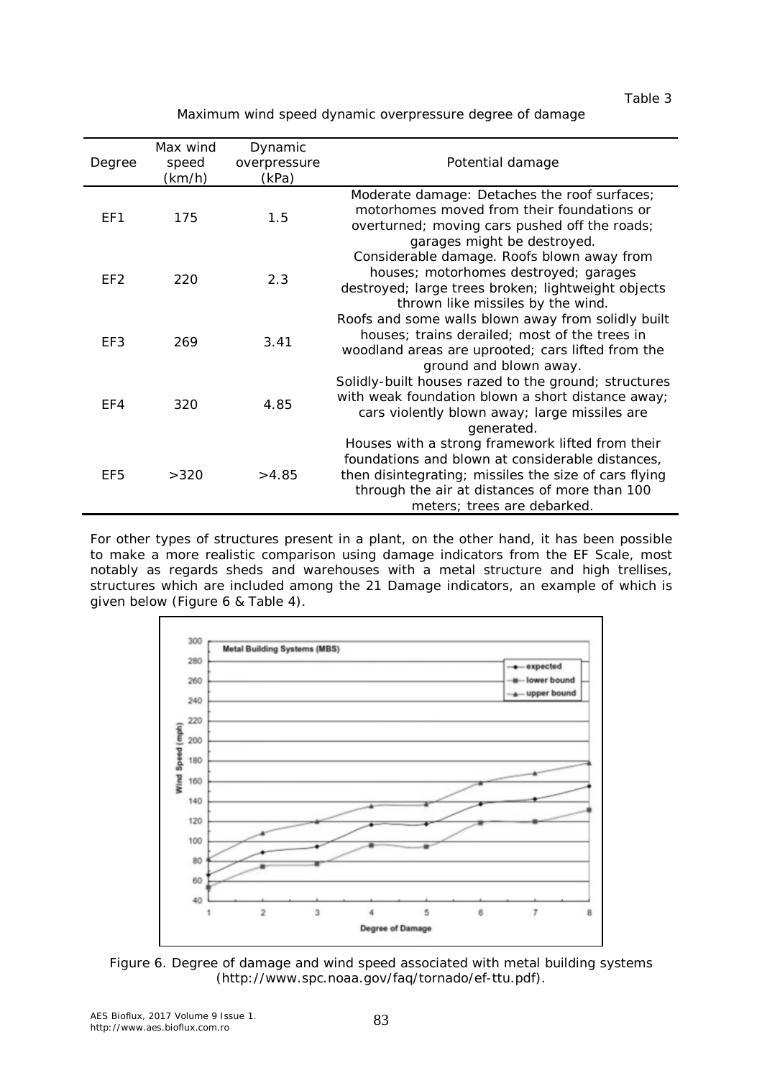Table 3

Maximum wind speed dynamic overpressure degree of damage

| Degree          | Max wind<br>speed<br>(km/h) | Dynamic<br>overpressure<br>(kPa) | Potential damage                                                                                                                                                                                                                              |
|-----------------|-----------------------------|----------------------------------|-----------------------------------------------------------------------------------------------------------------------------------------------------------------------------------------------------------------------------------------------|
| EF1             | 175                         | 1.5                              | Moderate damage: Detaches the roof surfaces;<br>motorhomes moved from their foundations or<br>overturned; moving cars pushed off the roads;<br>garages might be destroyed.                                                                    |
| EF <sub>2</sub> | 220                         | 2.3                              | Considerable damage. Roofs blown away from<br>houses; motorhomes destroyed; garages<br>destroyed; large trees broken; lightweight objects<br>thrown like missiles by the wind.                                                                |
| EF3             | 269                         | 3.41                             | Roofs and some walls blown away from solidly built<br>houses; trains derailed; most of the trees in<br>woodland areas are uprooted; cars lifted from the<br>ground and blown away.                                                            |
| EF4             | 320                         | 4.85                             | Solidly-built houses razed to the ground; structures<br>with weak foundation blown a short distance away;<br>cars violently blown away; large missiles are<br>generated.                                                                      |
| EF5             | >320                        | >4.85                            | Houses with a strong framework lifted from their<br>foundations and blown at considerable distances,<br>then disintegrating; missiles the size of cars flying<br>through the air at distances of more than 100<br>meters; trees are debarked. |

For other types of structures present in a plant, on the other hand, it has been possible to make a more realistic comparison using damage indicators from the EF Scale, most notably as regards sheds and warehouses with a metal structure and high trellises, structures which are included among the 21 Damage indicators, an example of which is given below (Figure 6 & Table 4).



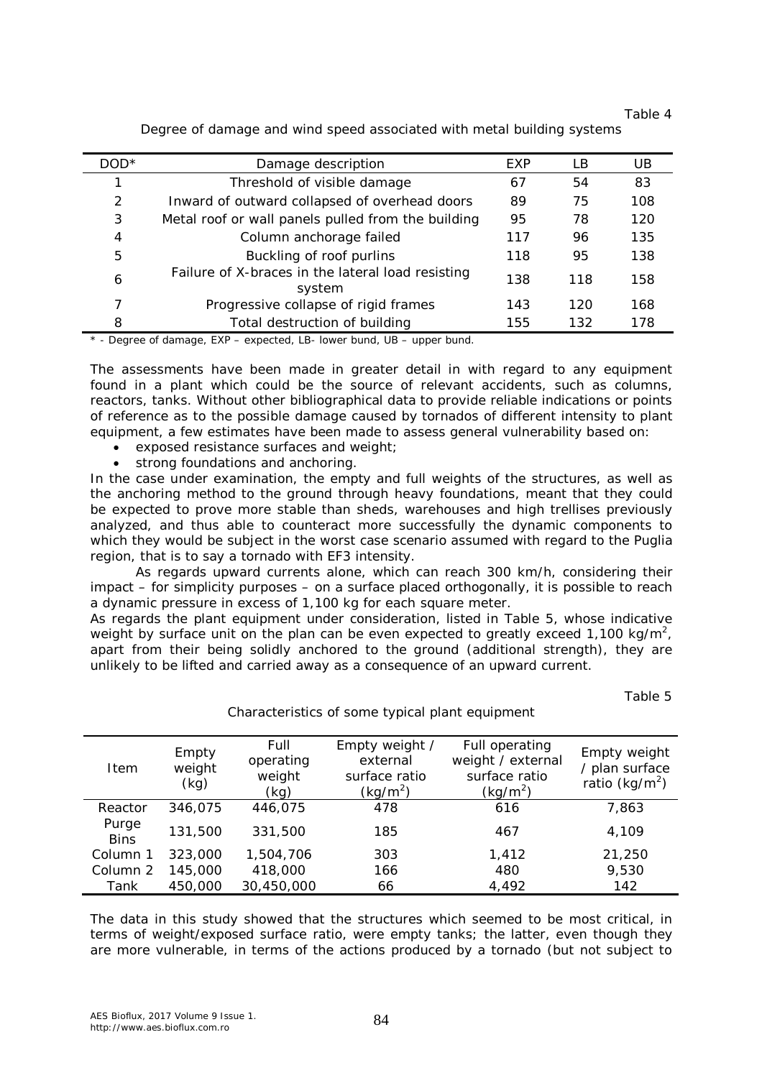Table 4

| DOD* | Damage description                                          | EXP | I B | UВ  |
|------|-------------------------------------------------------------|-----|-----|-----|
|      | Threshold of visible damage                                 | 67  | 54  | 83  |
| 2    | Inward of outward collapsed of overhead doors               | 89  | 75  | 108 |
| 3    | Metal roof or wall panels pulled from the building          | 95  | 78  | 120 |
| 4    | Column anchorage failed                                     | 117 | 96  | 135 |
| 5    | Buckling of roof purlins                                    | 118 | 95  | 138 |
| 6    | Failure of X-braces in the lateral load resisting<br>system | 138 | 118 | 158 |
| 7    | Progressive collapse of rigid frames                        | 143 | 120 | 168 |
| 8    | Total destruction of building                               | 155 | 132 | 178 |

Degree of damage and wind speed associated with metal building systems

\* - Degree of damage, EXP – expected, LB- lower bund, UB – upper bund.

The assessments have been made in greater detail in with regard to any equipment found in a plant which could be the source of relevant accidents, such as columns, reactors, tanks. Without other bibliographical data to provide reliable indications or points of reference as to the possible damage caused by tornados of different intensity to plant equipment, a few estimates have been made to assess general vulnerability based on:

- exposed resistance surfaces and weight;
- strong foundations and anchoring.

In the case under examination, the empty and full weights of the structures, as well as the anchoring method to the ground through heavy foundations, meant that they could be expected to prove more stable than sheds, warehouses and high trellises previously analyzed, and thus able to counteract more successfully the dynamic components to which they would be subject in the worst case scenario assumed with regard to the Puglia region, that is to say a tornado with EF3 intensity.

As regards upward currents alone, which can reach 300 km/h, considering their impact – for simplicity purposes – on a surface placed orthogonally, it is possible to reach a dynamic pressure in excess of 1,100 kg for each square meter.

As regards the plant equipment under consideration, listed in Table 5, whose indicative weight by surface unit on the plan can be even expected to greatly exceed 1,100 kg/m<sup>2</sup>, apart from their being solidly anchored to the ground (additional strength), they are unlikely to be lifted and carried away as a consequence of an upward current.

Table 5

| Item                 | Empty<br>weight<br>(kg) | Full<br>operating<br>weight<br>(kg) | Empty weight /<br>external<br>surface ratio<br>$(kq/m^2)$ | Full operating<br>weight / external<br>surface ratio<br>(kg/m <sup>2</sup> ) | Empty weight<br>/ plan surface<br>ratio (kg/m <sup>2</sup> ) |
|----------------------|-------------------------|-------------------------------------|-----------------------------------------------------------|------------------------------------------------------------------------------|--------------------------------------------------------------|
| Reactor              | 346.075                 | 446,075                             | 478                                                       | 616                                                                          | 7.863                                                        |
| Purge<br><b>Bins</b> | 131,500                 | 331,500                             | 185                                                       | 467                                                                          | 4.109                                                        |
| Column 1             | 323,000                 | 1,504,706                           | 303                                                       | 1.412                                                                        | 21,250                                                       |
| Column 2             | 145,000                 | 418,000                             | 166                                                       | 480                                                                          | 9,530                                                        |
| Tank                 | 450,000                 | 30,450,000                          | 66                                                        | 4,492                                                                        | 142                                                          |

Characteristics of some typical plant equipment

The data in this study showed that the structures which seemed to be most critical, in terms of weight/exposed surface ratio, were empty tanks; the latter, even though they are more vulnerable, in terms of the actions produced by a tornado (but not subject to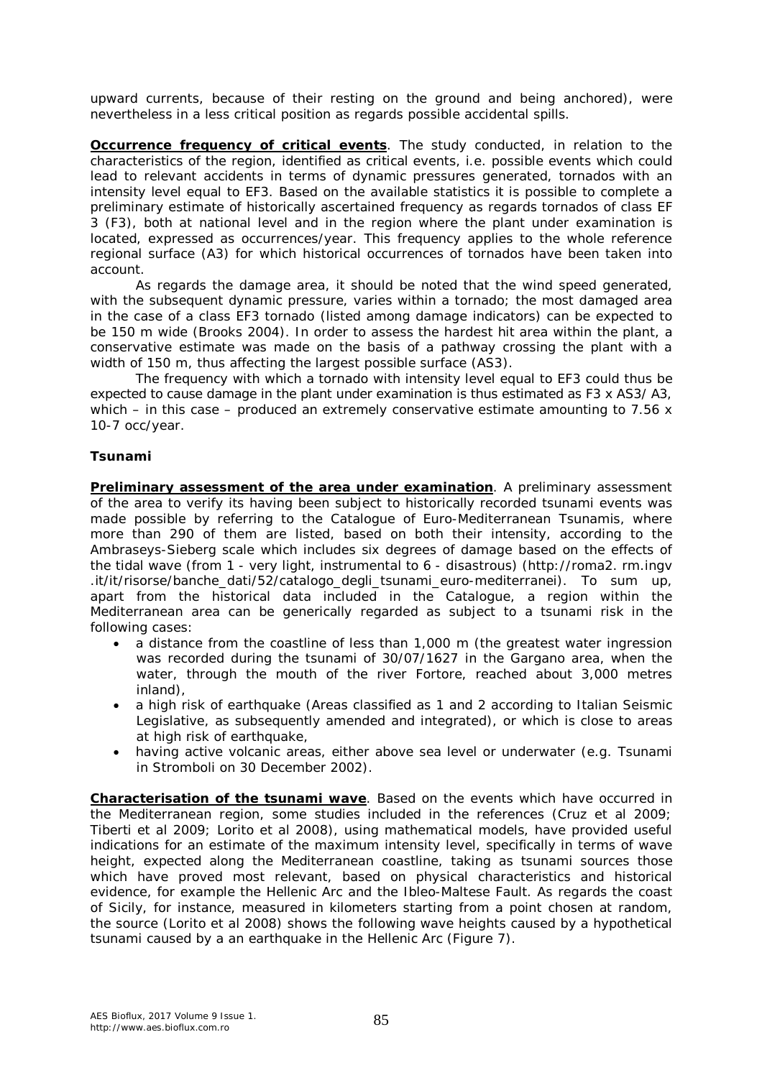upward currents, because of their resting on the ground and being anchored), were nevertheless in a less critical position as regards possible accidental spills.

*Occurrence frequency of critical events*. The study conducted, in relation to the characteristics of the region, identified as critical events, i.e. possible events which could lead to relevant accidents in terms of dynamic pressures generated, tornados with an intensity level equal to EF3. Based on the available statistics it is possible to complete a preliminary estimate of historically ascertained frequency as regards tornados of class EF 3 (F3), both at national level and in the region where the plant under examination is located, expressed as occurrences/year. This frequency applies to the whole reference regional surface (A3) for which historical occurrences of tornados have been taken into account.

As regards the damage area, it should be noted that the wind speed generated, with the subsequent dynamic pressure, varies within a tornado; the most damaged area in the case of a class EF3 tornado (listed among damage indicators) can be expected to be 150 m wide (Brooks 2004). In order to assess the hardest hit area within the plant, a conservative estimate was made on the basis of a pathway crossing the plant with a width of 150 m, thus affecting the largest possible surface (AS3).

The frequency with which a tornado with intensity level equal to EF3 could thus be expected to cause damage in the plant under examination is thus estimated as F3 x AS3/ A3, which – in this case – produced an extremely conservative estimate amounting to 7.56  $\times$ 10-7 occ/year.

# *Tsunami*

*Preliminary assessment of the area under examination*. A preliminary assessment of the area to verify its having been subject to historically recorded tsunami events was made possible by referring to the Catalogue of Euro-Mediterranean Tsunamis, where more than 290 of them are listed, based on both their intensity, according to the Ambraseys-Sieberg scale which includes six degrees of damage based on the effects of the tidal wave (from 1 - very light, instrumental to 6 - disastrous) (http://roma2. rm.ingv .it/it/risorse/banche\_dati/52/catalogo\_degli\_tsunami\_euro-mediterranei). To sum up, apart from the historical data included in the Catalogue, a region within the Mediterranean area can be generically regarded as subject to a tsunami risk in the following cases:

- a distance from the coastline of less than 1,000 m (the greatest water ingression was recorded during the tsunami of 30/07/1627 in the Gargano area, when the water, through the mouth of the river Fortore, reached about 3,000 metres inland),
- a high risk of earthquake (Areas classified as 1 and 2 according to Italian Seismic Legislative, as subsequently amended and integrated), or which is close to areas at high risk of earthquake,
- having active volcanic areas, either above sea level or underwater (e.g. Tsunami in Stromboli on 30 December 2002).

*Characterisation of the tsunami wave*. Based on the events which have occurred in the Mediterranean region, some studies included in the references (Cruz et al 2009; Tiberti et al 2009; Lorito et al 2008), using mathematical models, have provided useful indications for an estimate of the maximum intensity level, specifically in terms of wave height, expected along the Mediterranean coastline, taking as tsunami sources those which have proved most relevant, based on physical characteristics and historical evidence, for example the Hellenic Arc and the Ibleo-Maltese Fault. As regards the coast of Sicily, for instance, measured in kilometers starting from a point chosen at random, the source (Lorito et al 2008) shows the following wave heights caused by a hypothetical tsunami caused by a an earthquake in the Hellenic Arc (Figure 7).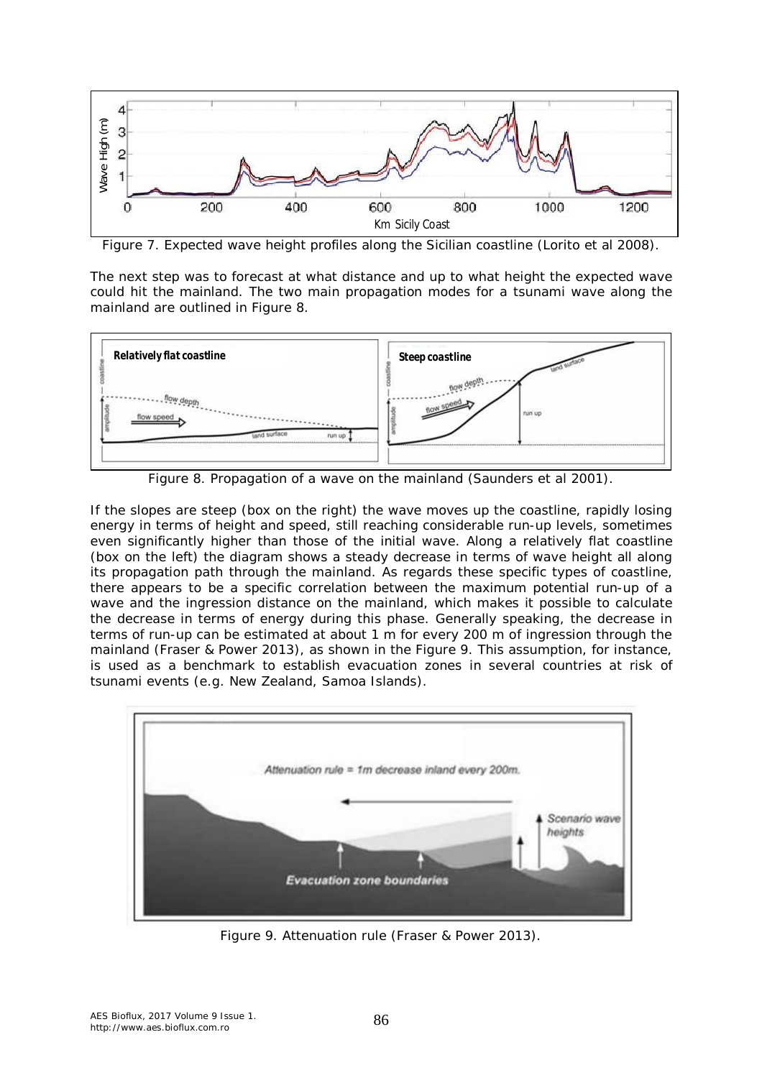

Figure 7. Expected wave height profiles along the Sicilian coastline (Lorito et al 2008).

The next step was to forecast at what distance and up to what height the expected wave could hit the mainland. The two main propagation modes for a tsunami wave along the mainland are outlined in Figure 8.



Figure 8. Propagation of a wave on the mainland (Saunders et al 2001).

If the slopes are steep (box on the right) the wave moves up the coastline, rapidly losing energy in terms of height and speed, still reaching considerable run-up levels, sometimes even significantly higher than those of the initial wave. Along a relatively flat coastline (box on the left) the diagram shows a steady decrease in terms of wave height all along its propagation path through the mainland. As regards these specific types of coastline, there appears to be a specific correlation between the maximum potential run-up of a wave and the ingression distance on the mainland, which makes it possible to calculate the decrease in terms of energy during this phase. Generally speaking, the decrease in terms of run-up can be estimated at about 1 m for every 200 m of ingression through the mainland (Fraser & Power 2013), as shown in the Figure 9. This assumption, for instance, is used as a benchmark to establish evacuation zones in several countries at risk of tsunami events (e.g. New Zealand, Samoa Islands).



Figure 9. Attenuation rule (Fraser & Power 2013).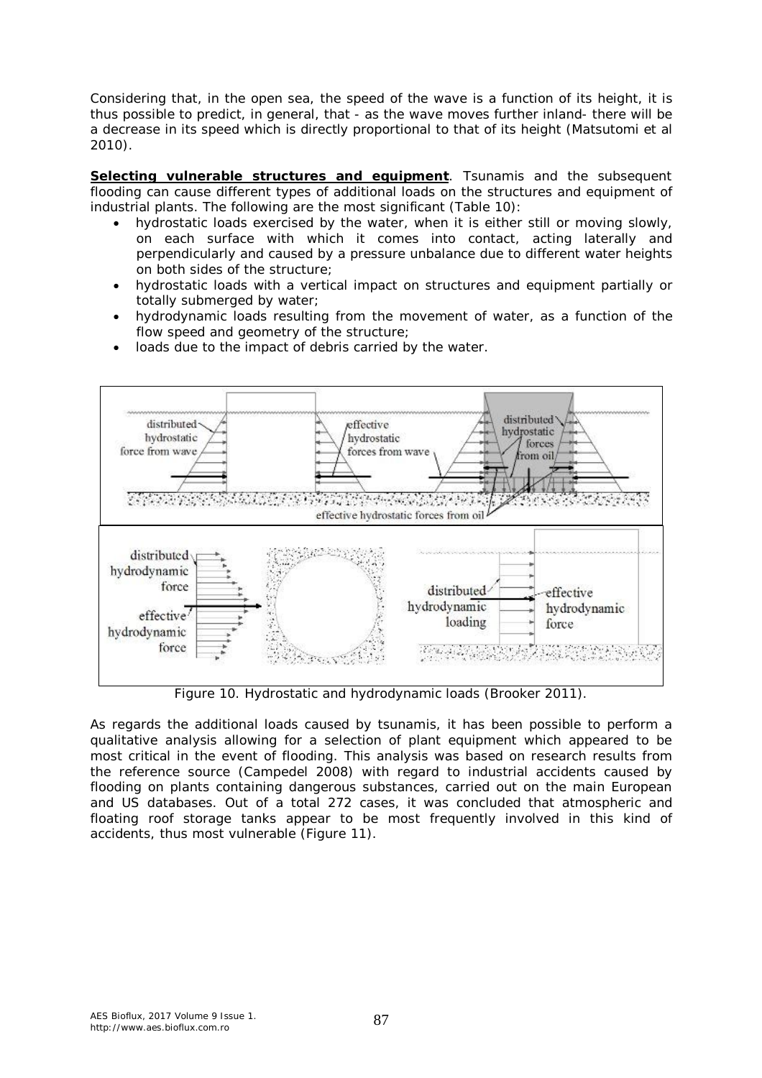Considering that, in the open sea, the speed of the wave is a function of its height, it is thus possible to predict, in general, that - as the wave moves further inland- there will be a decrease in its speed which is directly proportional to that of its height (Matsutomi et al 2010).

**Selecting vulnerable structures and equipment**. Tsunamis and the subsequent flooding can cause different types of additional loads on the structures and equipment of industrial plants. The following are the most significant (Table 10):

- hydrostatic loads exercised by the water, when it is either still or moving slowly, on each surface with which it comes into contact, acting laterally and perpendicularly and caused by a pressure unbalance due to different water heights on both sides of the structure;
- hydrostatic loads with a vertical impact on structures and equipment partially or totally submerged by water;
- hydrodynamic loads resulting from the movement of water, as a function of the flow speed and geometry of the structure;
- loads due to the impact of debris carried by the water.



Figure 10. Hydrostatic and hydrodynamic loads (Brooker 2011).

As regards the additional loads caused by tsunamis, it has been possible to perform a qualitative analysis allowing for a selection of plant equipment which appeared to be most critical in the event of flooding. This analysis was based on research results from the reference source (Campedel 2008) with regard to industrial accidents caused by flooding on plants containing dangerous substances, carried out on the main European and US databases. Out of a total 272 cases, it was concluded that atmospheric and floating roof storage tanks appear to be most frequently involved in this kind of accidents, thus most vulnerable (Figure 11).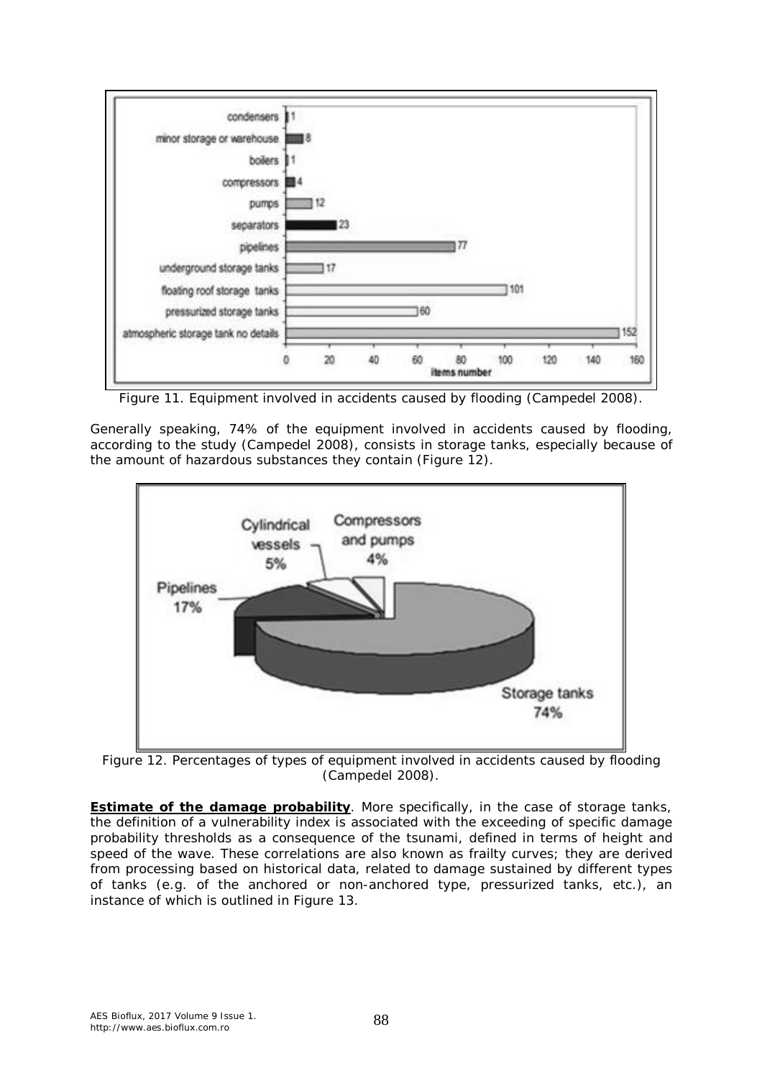

Figure 11. Equipment involved in accidents caused by flooding (Campedel 2008).

Generally speaking, 74% of the equipment involved in accidents caused by flooding, according to the study (Campedel 2008), consists in storage tanks, especially because of the amount of hazardous substances they contain (Figure 12).



Figure 12. Percentages of types of equipment involved in accidents caused by flooding (Campedel 2008).

**Estimate of the damage probability**. More specifically, in the case of storage tanks, the definition of a vulnerability index is associated with the exceeding of specific damage probability thresholds as a consequence of the tsunami, defined in terms of height and speed of the wave. These correlations are also known as frailty curves; they are derived from processing based on historical data, related to damage sustained by different types of tanks (e.g. of the anchored or non-anchored type, pressurized tanks, etc.), an instance of which is outlined in Figure 13.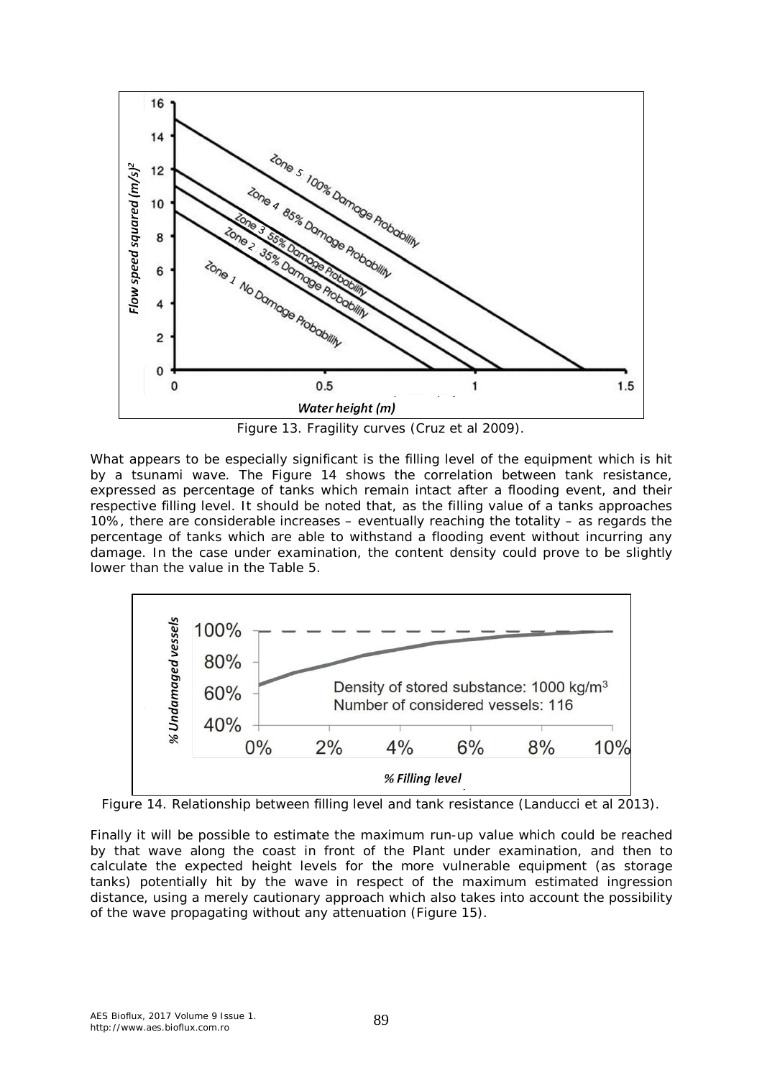

Figure 13. Fragility curves (Cruz et al 2009).

What appears to be especially significant is the filling level of the equipment which is hit by a tsunami wave. The Figure 14 shows the correlation between tank resistance, expressed as percentage of tanks which remain intact after a flooding event, and their respective filling level. It should be noted that, as the filling value of a tanks approaches 10%, there are considerable increases – eventually reaching the totality – as regards the percentage of tanks which are able to withstand a flooding event without incurring any damage. In the case under examination, the content density could prove to be slightly lower than the value in the Table 5.



Figure 14. Relationship between filling level and tank resistance (Landucci et al 2013).

Finally it will be possible to estimate the maximum run-up value which could be reached by that wave along the coast in front of the Plant under examination, and then to calculate the expected height levels for the more vulnerable equipment (as storage tanks) potentially hit by the wave in respect of the maximum estimated ingression distance, using a merely cautionary approach which also takes into account the possibility of the wave propagating without any attenuation (Figure 15).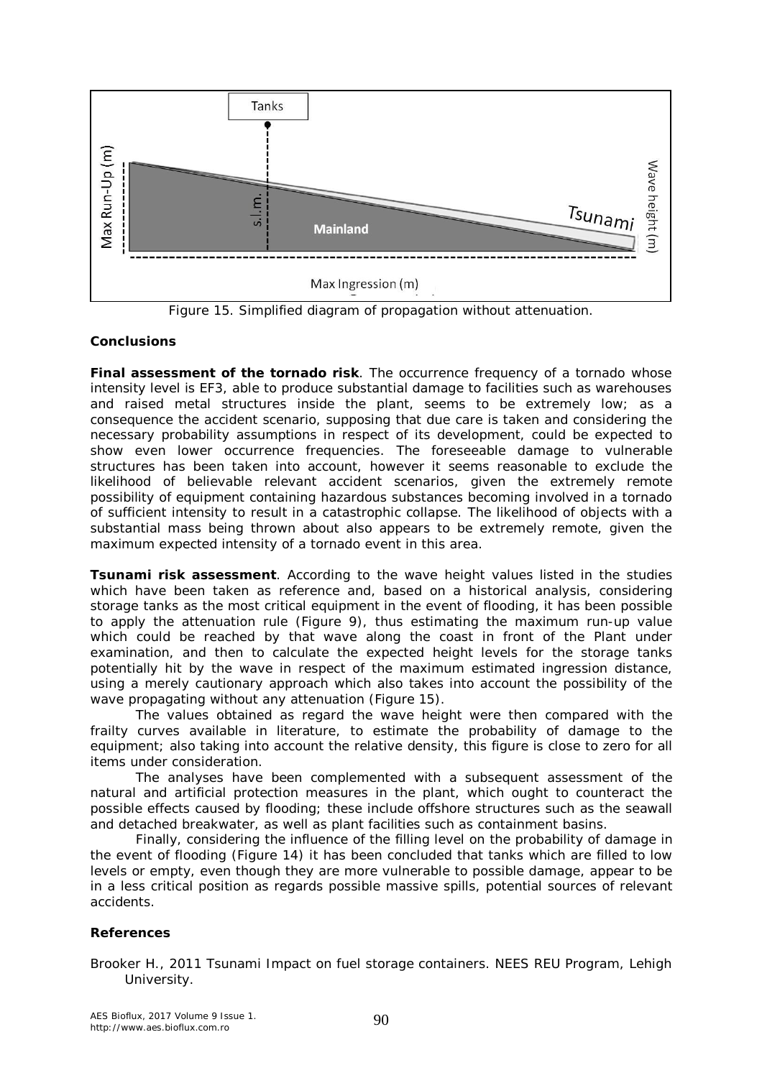

Figure 15. Simplified diagram of propagation without attenuation.

# **Conclusions**

*Final assessment of the tornado risk*. The occurrence frequency of a tornado whose intensity level is EF3, able to produce substantial damage to facilities such as warehouses and raised metal structures inside the plant, seems to be extremely low; as a consequence the accident scenario, supposing that due care is taken and considering the necessary probability assumptions in respect of its development, could be expected to show even lower occurrence frequencies. The foreseeable damage to vulnerable structures has been taken into account, however it seems reasonable to exclude the likelihood of believable relevant accident scenarios, given the extremely remote possibility of equipment containing hazardous substances becoming involved in a tornado of sufficient intensity to result in a catastrophic collapse. The likelihood of objects with a substantial mass being thrown about also appears to be extremely remote, given the maximum expected intensity of a tornado event in this area.

*Tsunami risk assessment*. According to the wave height values listed in the studies which have been taken as reference and, based on a historical analysis, considering storage tanks as the most critical equipment in the event of flooding, it has been possible to apply the attenuation rule (Figure 9), thus estimating the maximum run-up value which could be reached by that wave along the coast in front of the Plant under examination, and then to calculate the expected height levels for the storage tanks potentially hit by the wave in respect of the maximum estimated ingression distance, using a merely cautionary approach which also takes into account the possibility of the wave propagating without any attenuation (Figure 15).

The values obtained as regard the wave height were then compared with the frailty curves available in literature, to estimate the probability of damage to the equipment; also taking into account the relative density, this figure is close to zero for all items under consideration.

The analyses have been complemented with a subsequent assessment of the natural and artificial protection measures in the plant, which ought to counteract the possible effects caused by flooding; these include offshore structures such as the seawall and detached breakwater, as well as plant facilities such as containment basins.

Finally, considering the influence of the filling level on the probability of damage in the event of flooding (Figure 14) it has been concluded that tanks which are filled to low levels or empty, even though they are more vulnerable to possible damage, appear to be in a less critical position as regards possible massive spills, potential sources of relevant accidents.

# **References**

Brooker H., 2011 Tsunami Impact on fuel storage containers. NEES REU Program, Lehigh University.